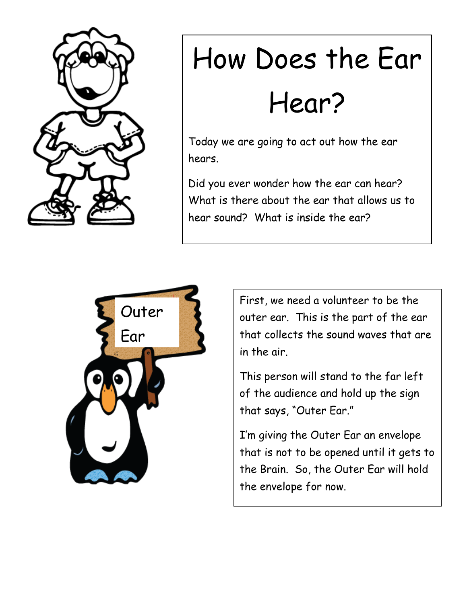

## How Does the Ear Hear?

Today we are going to act out how the ear hears.

Did you ever wonder how the ear can hear? What is there about the ear that allows us to hear sound? What is inside the ear?



First, we need a volunteer to be the outer ear. This is the part of the ear that collects the sound waves that are in the air.

This person will stand to the far left of the audience and hold up the sign that says, "Outer Ear."

I'm giving the Outer Ear an envelope that is not to be opened until it gets to the Brain. So, the Outer Ear will hold the envelope for now.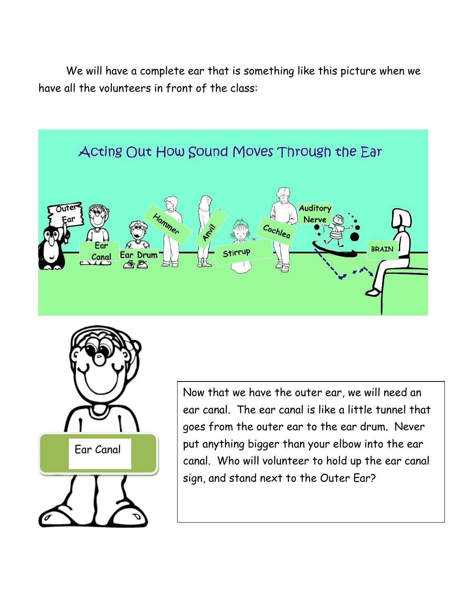We will have a complete ear that is something like this picture when we have all the volunteers in front of the class:





Now that we have the outer ear, we will need an ear canal. The ear canal is like a little tunnel that goes from the outer ear to the ear drum. Never put anything bigger than your elbow into the ear canal. Who will volunteer to hold up the ear canal sign, and stand next to the Outer Ear?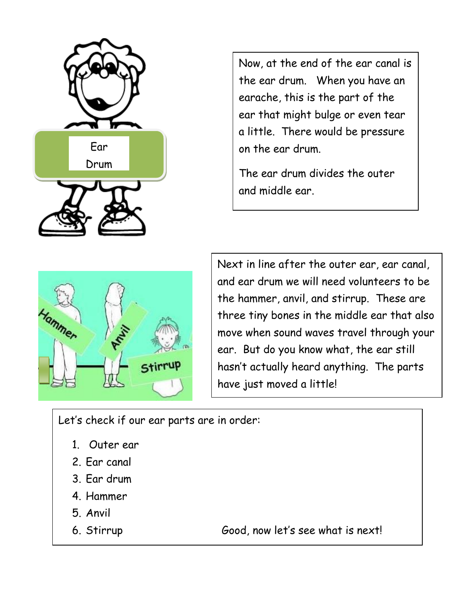

Now, at the end of the ear canal is the ear drum. When you have an earache, this is the part of the ear that might bulge or even tear a little. There would be pressure on the ear drum.

The ear drum divides the outer and middle ear.



Next in line after the outer ear, ear canal, and ear drum we will need volunteers to be the hammer, anvil, and stirrup. These are three tiny bones in the middle ear that also move when sound waves travel through your ear. But do you know what, the ear still hasn't actually heard anything. The parts have just moved a little!

Let's check if our ear parts are in order:

- 1. Outer ear
- 2. Ear canal
- 3. Ear drum
- 4. Hammer
- 5. Anvil
- 

6. Stirrup Good, now let's see what is next!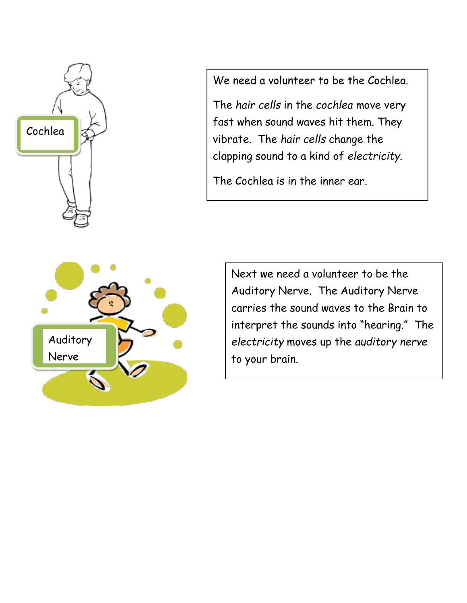

We need a volunteer to be the Cochlea.

The *hair cells* in the *cochlea* move very fast when sound waves hit them. They vibrate. The *hair cells* change the clapping sound to a kind of *electricity*.

The Cochlea is in the inner ear.



Next we need a volunteer to be the Auditory Nerve. The Auditory Nerve carries the sound waves to the Brain to interpret the sounds into "hearing." The *electricity* moves up the *auditory nerve* to your brain.